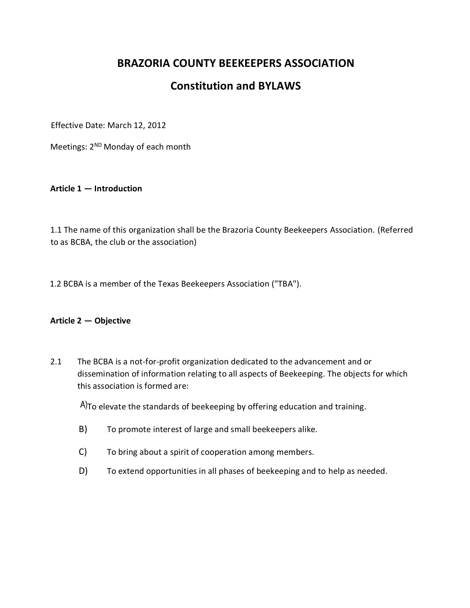# **BRAZORIA COUNTY BEEKEEPERS ASSOCIATION**

# **Constitution and BYLAWS**

Effective Date: March 12, 2012

Meetings: 2<sup>ND</sup> Monday of each month

**Article 1 — Introduction**

1.1 The name of this organization shall be the Brazoria County Beekeepers Association. (Referred to as BCBA, the club or the association)

1.2 BCBA is a member of the Texas Beekeepers Association ("TBA").

#### **Article 2 — Objective**

2.1 The BCBA is a not-for-profit organization dedicated to the advancement and or dissemination of information relating to all aspects of Beekeeping. The objects for which this association is formed are:

A)To elevate the standards of beekeeping by offering education and training.

- B) To promote interest of large and small beekeepers alike.
- C) To bring about a spirit of cooperation among members.
- D) To extend opportunities in all phases of beekeeping and to help as needed.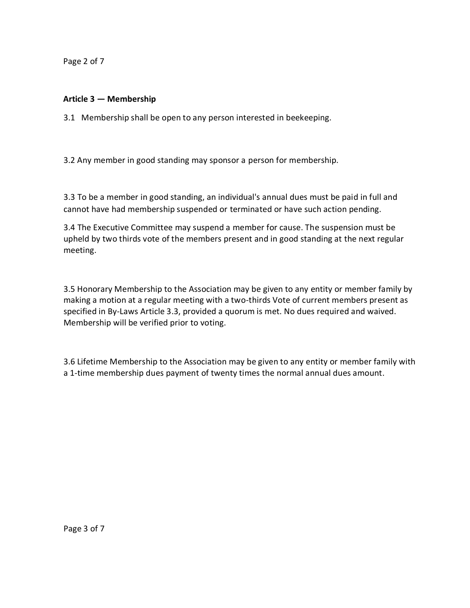Page 2 of 7

## **Article 3 — Membership**

3.1 Membership shall be open to any person interested in beekeeping.

3.2 Any member in good standing may sponsor a person for membership.

3.3 To be a member in good standing, an individual's annual dues must be paid in full and cannot have had membership suspended or terminated or have such action pending.

3.4 The Executive Committee may suspend a member for cause. The suspension must be upheld by two thirds vote of the members present and in good standing at the next regular meeting.

3.5 Honorary Membership to the Association may be given to any entity or member family by making a motion at a regular meeting with a two-thirds Vote of current members present as specified in By-Laws Article 3.3, provided a quorum is met. No dues required and waived. Membership will be verified prior to voting.

3.6 Lifetime Membership to the Association may be given to any entity or member family with a 1-time membership dues payment of twenty times the normal annual dues amount.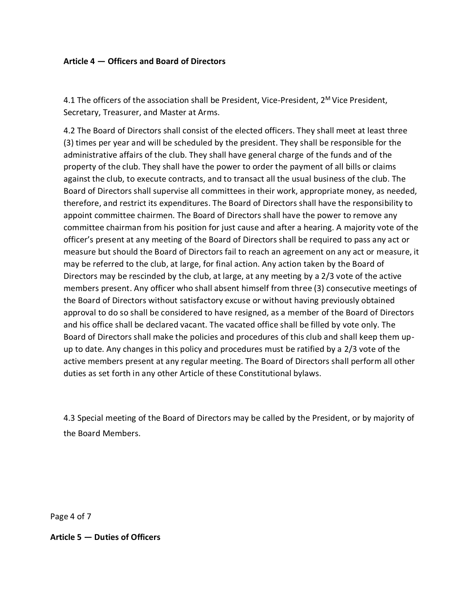### **Article 4 — Officers and Board of Directors**

4.1 The officers of the association shall be President, Vice-President, 2<sup>M</sup> Vice President, Secretary, Treasurer, and Master at Arms.

4.2 The Board of Directors shall consist of the elected officers. They shall meet at least three (3) times per year and will be scheduled by the president. They shall be responsible for the administrative affairs of the club. They shall have general charge of the funds and of the property of the club. They shall have the power to order the payment of all bills or claims against the club, to execute contracts, and to transact all the usual business of the club. The Board of Directors shall supervise all committees in their work, appropriate money, as needed, therefore, and restrict its expenditures. The Board of Directors shall have the responsibility to appoint committee chairmen. The Board of Directors shall have the power to remove any committee chairman from his position for just cause and after a hearing. A majority vote of the officer's present at any meeting of the Board of Directors shall be required to pass any act or measure but should the Board of Directors fail to reach an agreement on any act or measure, it may be referred to the club, at large, for final action. Any action taken by the Board of Directors may be rescinded by the club, at large, at any meeting by a 2/3 vote of the active members present. Any officer who shall absent himself from three (3) consecutive meetings of the Board of Directors without satisfactory excuse or without having previously obtained approval to do so shall be considered to have resigned, as a member of the Board of Directors and his office shall be declared vacant. The vacated office shall be filled by vote only. The Board of Directors shall make the policies and procedures of this club and shall keep them upup to date. Any changes in this policy and procedures must be ratified by a 2/3 vote of the active members present at any regular meeting. The Board of Directors shall perform all other duties as set forth in any other Article of these Constitutional bylaws.

4.3 Special meeting of the Board of Directors may be called by the President, or by majority of the Board Members.

Page 4 of 7

**Article 5 — Duties of Officers**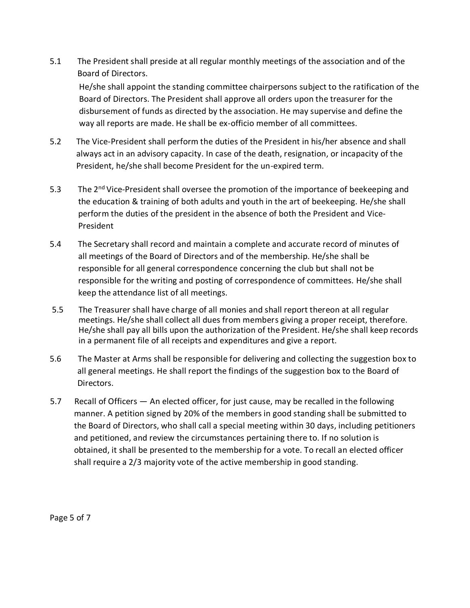5.1 The President shall preside at all regular monthly meetings of the association and of the Board of Directors.

He/she shall appoint the standing committee chairpersons subject to the ratification of the Board of Directors. The President shall approve all orders upon the treasurer for the disbursement of funds as directed by the association. He may supervise and define the way all reports are made. He shall be ex-officio member of all committees.

- 5.2 The Vice-President shall perform the duties of the President in his/her absence and shall always act in an advisory capacity. In case of the death, resignation, or incapacity of the President, he/she shall become President for the un-expired term.
- 5.3 The 2<sup>nd</sup> Vice-President shall oversee the promotion of the importance of beekeeping and the education & training of both adults and youth in the art of beekeeping. He/she shall perform the duties of the president in the absence of both the President and Vice-President
- 5.4 The Secretary shall record and maintain a complete and accurate record of minutes of all meetings of the Board of Directors and of the membership. He/she shall be responsible for all general correspondence concerning the club but shall not be responsible for the writing and posting of correspondence of committees. He/she shall keep the attendance list of all meetings.
- 5.5 The Treasurer shall have charge of all monies and shall report thereon at all regular meetings. He/she shall collect all dues from members giving a proper receipt, therefore. He/she shall pay all bills upon the authorization of the President. He/she shall keep records in a permanent file of all receipts and expenditures and give a report.
- 5.6 The Master at Arms shall be responsible for delivering and collecting the suggestion box to all general meetings. He shall report the findings of the suggestion box to the Board of Directors.
- 5.7 Recall of Officers An elected officer, for just cause, may be recalled in the following manner. A petition signed by 20% of the members in good standing shall be submitted to the Board of Directors, who shall call a special meeting within 30 days, including petitioners and petitioned, and review the circumstances pertaining there to. If no solution is obtained, it shall be presented to the membership for a vote. To recall an elected officer shall require a 2/3 majority vote of the active membership in good standing.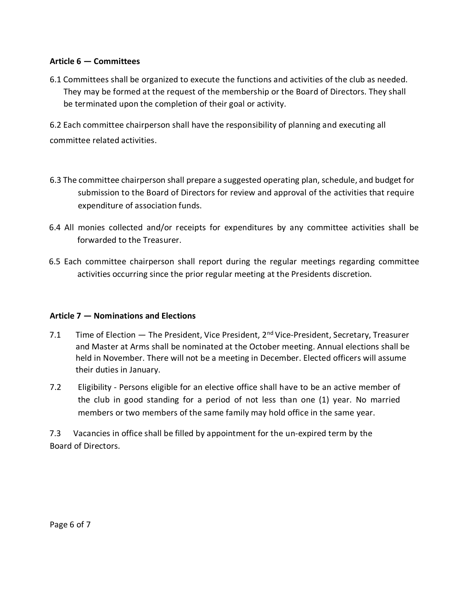### **Article 6 — Committees**

6.1 Committees shall be organized to execute the functions and activities of the club as needed. They may be formed at the request of the membership or the Board of Directors. They shall be terminated upon the completion of their goal or activity.

6.2 Each committee chairperson shall have the responsibility of planning and executing all committee related activities.

- 6.3 The committee chairperson shall prepare a suggested operating plan, schedule, and budget for submission to the Board of Directors for review and approval of the activities that require expenditure of association funds.
- 6.4 All monies collected and/or receipts for expenditures by any committee activities shall be forwarded to the Treasurer.
- 6.5 Each committee chairperson shall report during the regular meetings regarding committee activities occurring since the prior regular meeting at the Presidents discretion.

## **Article 7 — Nominations and Elections**

- 7.1 Time of Election  $-$  The President, Vice President,  $2^{nd}$  Vice-President, Secretary, Treasurer and Master at Arms shall be nominated at the October meeting. Annual elections shall be held in November. There will not be a meeting in December. Elected officers will assume their duties in January.
- 7.2 Eligibility Persons eligible for an elective office shall have to be an active member of the club in good standing for a period of not less than one (1) year. No married members or two members of the same family may hold office in the same year.

7.3 Vacancies in office shall be filled by appointment for the un-expired term by the Board of Directors.

Page 6 of 7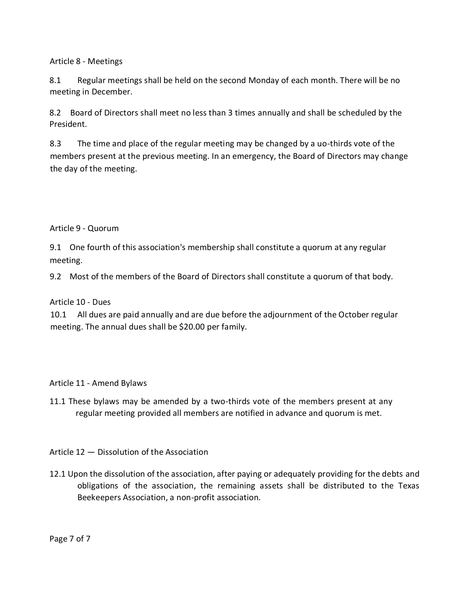Article 8 - Meetings

8.1 Regular meetings shall be held on the second Monday of each month. There will be no meeting in December.

8.2 Board of Directors shall meet no less than 3 times annually and shall be scheduled by the President.

8.3 The time and place of the regular meeting may be changed by a uo-thirds vote of the members present at the previous meeting. In an emergency, the Board of Directors may change the day of the meeting.

Article 9 - Quorum

9.1 One fourth of this association's membership shall constitute a quorum at any regular meeting.

9.2 Most of the members of the Board of Directors shall constitute a quorum of that body.

Article 10 - Dues

10.1 All dues are paid annually and are due before the adjournment of the October regular meeting. The annual dues shall be \$20.00 per family.

Article 11 - Amend Bylaws

11.1 These bylaws may be amended by a two-thirds vote of the members present at any regular meeting provided all members are notified in advance and quorum is met.

Article 12 — Dissolution of the Association

12.1 Upon the dissolution of the association, after paying or adequately providing for the debts and obligations of the association, the remaining assets shall be distributed to the Texas Beekeepers Association, a non-profit association.

Page 7 of 7